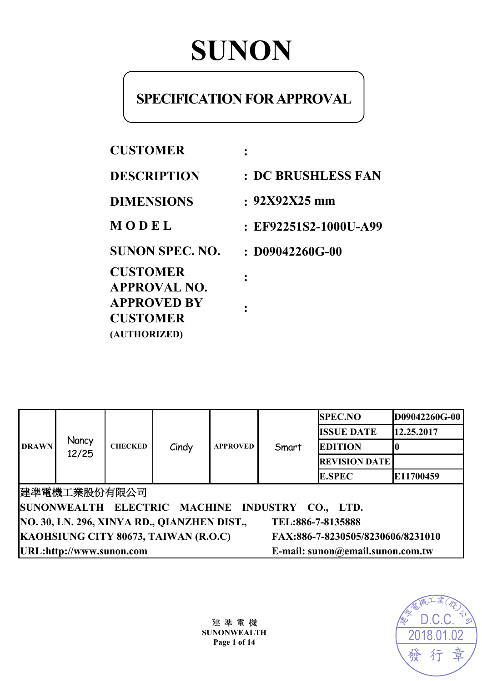# **SUNON**

# **SPECIFICATION FOR APPROVAL**

| <b>CUSTOMER</b>                                                                 |                           |
|---------------------------------------------------------------------------------|---------------------------|
| <b>DESCRIPTION</b>                                                              | <b>: DC BRUSHLESS FAN</b> |
| <b>DIMENSIONS</b>                                                               | $: 92X92X25$ mm           |
| MODEL                                                                           | : EF92251S2-1000U-A99     |
| <b>SUNON SPEC. NO.</b>                                                          | $: D09042260G-00$         |
| <b>CUSTOMER</b><br><b>APPROVAL NO.</b><br><b>APPROVED BY</b><br><b>CUSTOMER</b> |                           |
| (AUTHORIZED)                                                                    |                           |

| <b>DRAWN</b>                                                              | Nancy<br>12/25                                               | <b>CHECKED</b><br>Cindy |  | <b>APPROVED</b> | Smart | <b>SPEC.NO</b>       | D09042260G-00 |
|---------------------------------------------------------------------------|--------------------------------------------------------------|-------------------------|--|-----------------|-------|----------------------|---------------|
|                                                                           |                                                              |                         |  |                 |       | <b>ISSUE DATE</b>    | 12.25.2017    |
|                                                                           |                                                              |                         |  |                 |       | <b>EDITION</b>       |               |
|                                                                           |                                                              |                         |  |                 |       | <b>REVISION DATE</b> |               |
|                                                                           |                                                              |                         |  |                 |       | <b>E.SPEC</b>        | E11700459     |
| 建準電機工業股份有限公司                                                              |                                                              |                         |  |                 |       |                      |               |
| SUNONWEALTH ELECTRIC MACHINE INDUSTRY CO., LTD.                           |                                                              |                         |  |                 |       |                      |               |
| NO. 30, LN. 296, XINYA RD., QIANZHEN DIST.,<br>TEL:886-7-8135888          |                                                              |                         |  |                 |       |                      |               |
| KAOHSIUNG CITY 80673, TAIWAN (R.O.C)<br>FAX:886-7-8230505/8230606/8231010 |                                                              |                         |  |                 |       |                      |               |
|                                                                           | URL:http://www.sunon.com<br>E-mail: sunon@email.sunon.com.tw |                         |  |                 |       |                      |               |

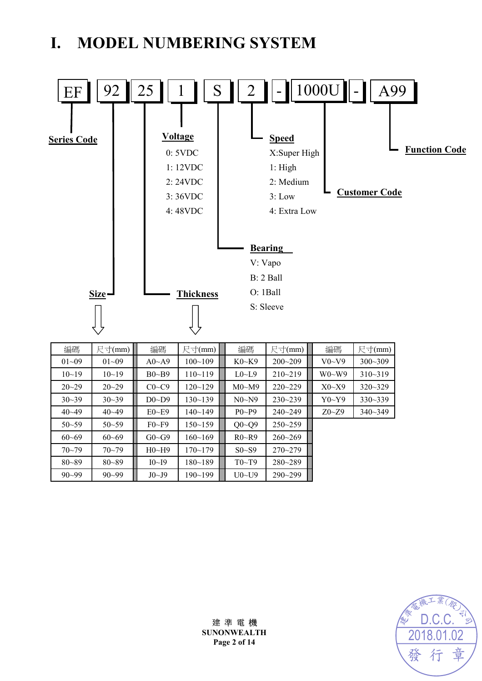# **I. MODEL NUMBERING SYSTEM**



| $01 - 09$ | $01 - 09$ | $A0 \sim A9$ | $100 - 109$ | $K0-K9$        | $200 - 209$ | $V0-V9$        | $300 - 309$ |
|-----------|-----------|--------------|-------------|----------------|-------------|----------------|-------------|
| $10 - 19$ | $10 - 19$ | $B0\sim B9$  | $110 - 119$ | $L0$ ~ $L9$    | $210 - 219$ | $W0-W9$        | $310 - 319$ |
| $20 - 29$ | $20 - 29$ | $C0-C9$      | $120 - 129$ | M0~M9          | $220 - 229$ | X0~X9          | $320 - 329$ |
| $30 - 39$ | $30 - 39$ | $D0 \sim D9$ | $130 - 139$ | N0~N9          | $230 - 239$ | Y0~Y9          | $330 - 339$ |
| $40 - 49$ | $40 - 49$ | $E0 \sim E9$ | $140 - 149$ | $P_0 \sim P_9$ | $240 - 249$ | $Z_0 \sim Z_9$ | $340 - 349$ |
| $50 - 59$ | $50 - 59$ | $F0-F9$      | $150 - 159$ | $Q0 - Q9$      | $250 - 259$ |                |             |
| $60 - 69$ | $60 - 69$ | $G0 \sim G9$ | $160 - 169$ | R0~R9          | $260 - 269$ |                |             |
| $70 - 79$ | $70 - 79$ | H0~H9        | $170 - 179$ | $S0-S9$        | $270 - 279$ |                |             |
| $80 - 89$ | $80 - 89$ | I0~I9        | $180 - 189$ | T0~T9          | 280~289     |                |             |
| $90 - 99$ | $90 - 99$ | J0~J9        | $190 - 199$ | $U0-V9$        | $290 - 299$ |                |             |



建 準 電 機 **SUNONWEALTH Page 2 of 14**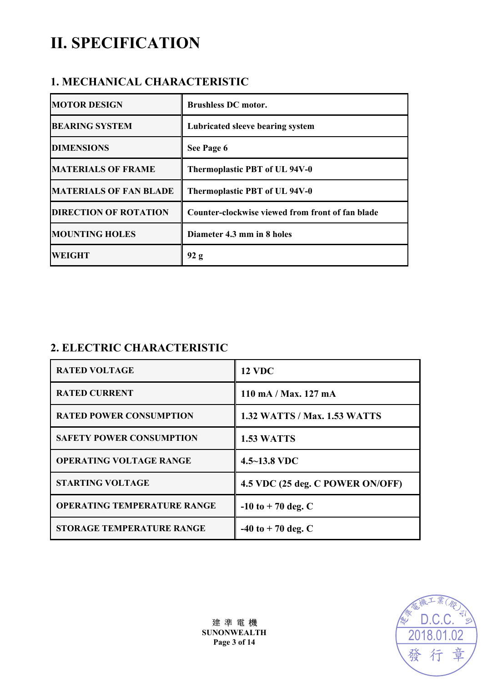# **II. SPECIFICATION**

# **1. MECHANICAL CHARACTERISTIC**

| <b>MOTOR DESIGN</b>           | <b>Brushless DC motor.</b>                       |
|-------------------------------|--------------------------------------------------|
| <b>BEARING SYSTEM</b>         | Lubricated sleeve bearing system                 |
| <b>DIMENSIONS</b>             | See Page 6                                       |
| <b>MATERIALS OF FRAME</b>     | Thermoplastic PBT of UL 94V-0                    |
| <b>MATERIALS OF FAN BLADE</b> | Thermoplastic PBT of UL 94V-0                    |
| <b>DIRECTION OF ROTATION</b>  | Counter-clockwise viewed from front of fan blade |
| <b>MOUNTING HOLES</b>         | Diameter 4.3 mm in 8 holes                       |
| <b>WEIGHT</b>                 | 92 g                                             |

# **2. ELECTRIC CHARACTERISTIC**

| <b>RATED VOLTAGE</b>               | <b>12 VDC</b>                       |
|------------------------------------|-------------------------------------|
| <b>RATED CURRENT</b>               | 110 mA / Max. 127 mA                |
| <b>RATED POWER CONSUMPTION</b>     | <b>1.32 WATTS / Max. 1.53 WATTS</b> |
| <b>SAFETY POWER CONSUMPTION</b>    | 1.53 WATTS                          |
| <b>OPERATING VOLTAGE RANGE</b>     | $4.5 - 13.8$ VDC                    |
| <b>STARTING VOLTAGE</b>            | 4.5 VDC (25 deg. C POWER ON/OFF)    |
| <b>OPERATING TEMPERATURE RANGE</b> | $-10$ to $+70$ deg. C               |
| <b>STORAGE TEMPERATURE RANGE</b>   | $-40$ to $+70$ deg. C               |

建 準 電 機 **SUNONWEALTH Page 3 of 14**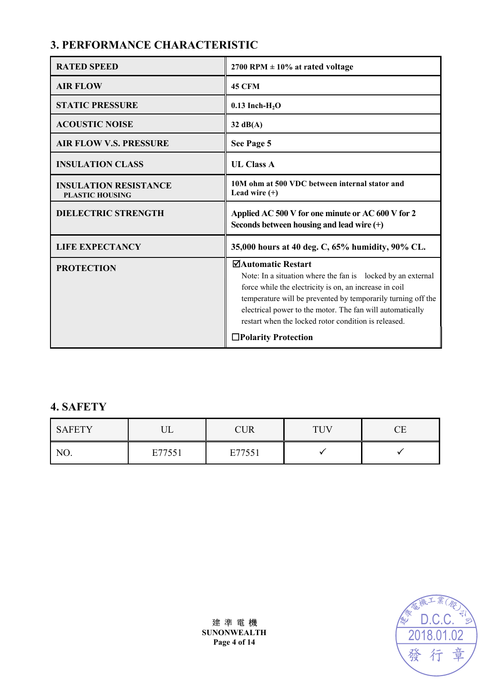# **3. PERFORMANCE CHARACTERISTIC**

| <b>RATED SPEED</b>                                     | 2700 RPM $\pm$ 10% at rated voltage                                                                                                                                                                                                                                                                                                                                   |
|--------------------------------------------------------|-----------------------------------------------------------------------------------------------------------------------------------------------------------------------------------------------------------------------------------------------------------------------------------------------------------------------------------------------------------------------|
| <b>AIR FLOW</b>                                        | <b>45 CFM</b>                                                                                                                                                                                                                                                                                                                                                         |
| <b>STATIC PRESSURE</b>                                 | $0.13$ Inch-H <sub>2</sub> O                                                                                                                                                                                                                                                                                                                                          |
| <b>ACOUSTIC NOISE</b>                                  | $32 \text{ dB}(A)$                                                                                                                                                                                                                                                                                                                                                    |
| <b>AIR FLOW V.S. PRESSURE</b>                          | See Page 5                                                                                                                                                                                                                                                                                                                                                            |
| <b>INSULATION CLASS</b>                                | <b>UL Class A</b>                                                                                                                                                                                                                                                                                                                                                     |
| <b>INSULATION RESISTANCE</b><br><b>PLASTIC HOUSING</b> | 10M ohm at 500 VDC between internal stator and<br>Lead wire $(+)$                                                                                                                                                                                                                                                                                                     |
| <b>DIELECTRIC STRENGTH</b>                             | Applied AC 500 V for one minute or AC 600 V for 2<br>Seconds between housing and lead wire (+)                                                                                                                                                                                                                                                                        |
| <b>LIFE EXPECTANCY</b>                                 | 35,000 hours at 40 deg. C, 65% humidity, 90% CL.                                                                                                                                                                                                                                                                                                                      |
| <b>PROTECTION</b>                                      | <b>ØAutomatic Restart</b><br>Note: In a situation where the fan is locked by an external<br>force while the electricity is on, an increase in coil<br>temperature will be prevented by temporarily turning off the<br>electrical power to the motor. The fan will automatically<br>restart when the locked rotor condition is released.<br>$\Box$ Polarity Protection |

### **4. SAFETY**

| <b>SAFETY</b> | T<br>∪∟ | $\bigcap R$ | <b>THV</b> |  |
|---------------|---------|-------------|------------|--|
| NO.           | E77551  | E77551      |            |  |

建 準 電 機 **SUNONWEALTH Page 4 of 14**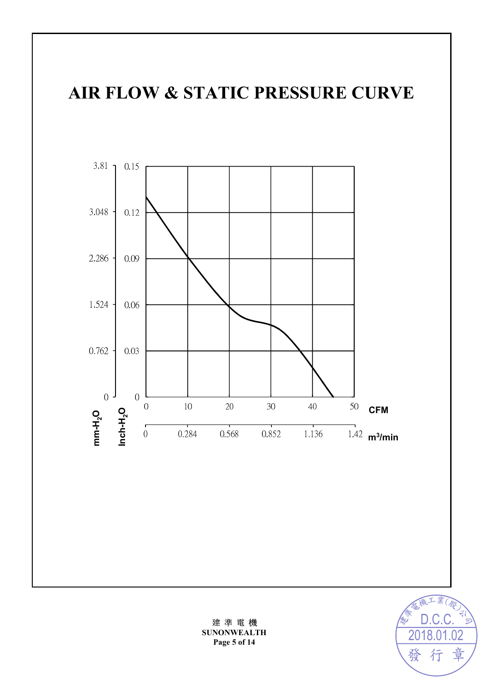# **AIR FLOW & STATIC PRESSURE CURVE**



建 準 電 機 **SUNONWEALTH Page 5 of 14** 

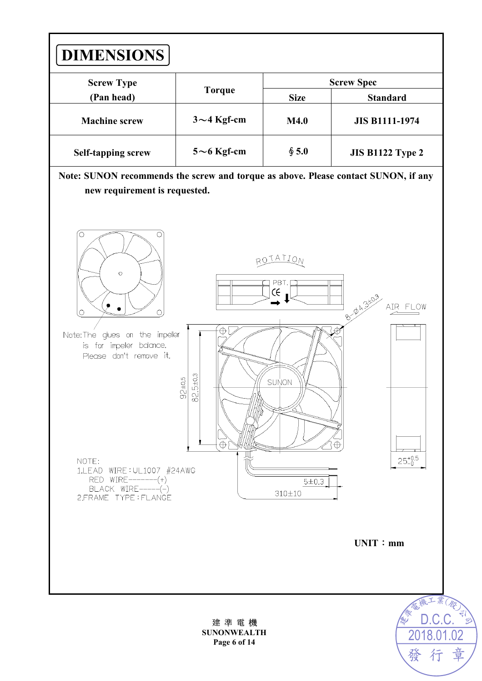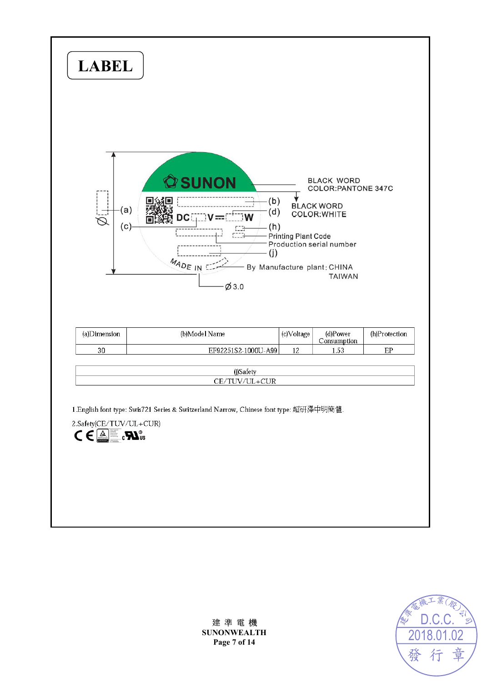



建 準 電 機 **SUNONWEALTH Page 7 of 14**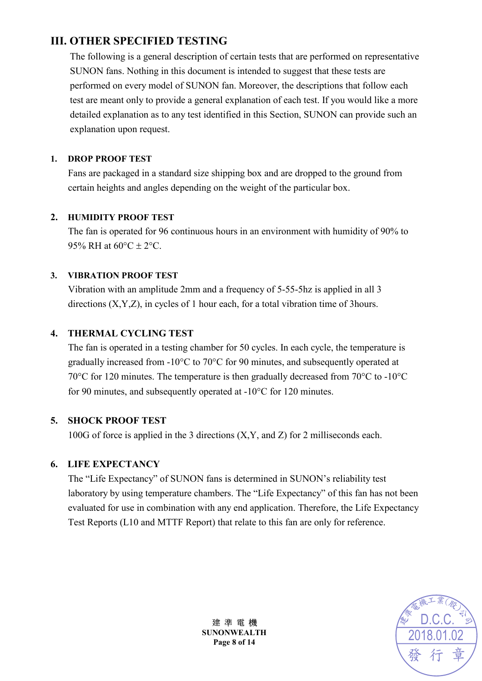# **III. OTHER SPECIFIED TESTING**

The following is a general description of certain tests that are performed on representative SUNON fans. Nothing in this document is intended to suggest that these tests are performed on every model of SUNON fan. Moreover, the descriptions that follow each test are meant only to provide a general explanation of each test. If you would like a more detailed explanation as to any test identified in this Section, SUNON can provide such an explanation upon request.

#### **1. DROP PROOF TEST**

Fans are packaged in a standard size shipping box and are dropped to the ground from certain heights and angles depending on the weight of the particular box.

#### **2. HUMIDITY PROOF TEST**

The fan is operated for 96 continuous hours in an environment with humidity of 90% to 95% RH at  $60^{\circ}$ C  $\pm$  2°C.

#### **3. VIBRATION PROOF TEST**

Vibration with an amplitude 2mm and a frequency of 5-55-5hz is applied in all 3 directions (X,Y,Z), in cycles of 1 hour each, for a total vibration time of 3hours.

#### **4. THERMAL CYCLING TEST**

The fan is operated in a testing chamber for 50 cycles. In each cycle, the temperature is gradually increased from -10°C to 70°C for 90 minutes, and subsequently operated at 70°C for 120 minutes. The temperature is then gradually decreased from 70°C to -10°C for 90 minutes, and subsequently operated at -10°C for 120 minutes.

#### **5. SHOCK PROOF TEST**

100G of force is applied in the 3 directions (X,Y, and Z) for 2 milliseconds each.

#### **6. LIFE EXPECTANCY**

The "Life Expectancy" of SUNON fans is determined in SUNON's reliability test laboratory by using temperature chambers. The "Life Expectancy" of this fan has not been evaluated for use in combination with any end application. Therefore, the Life Expectancy Test Reports (L10 and MTTF Report) that relate to this fan are only for reference.



建 準 電 機 **SUNONWEALTH Page 8 of 14**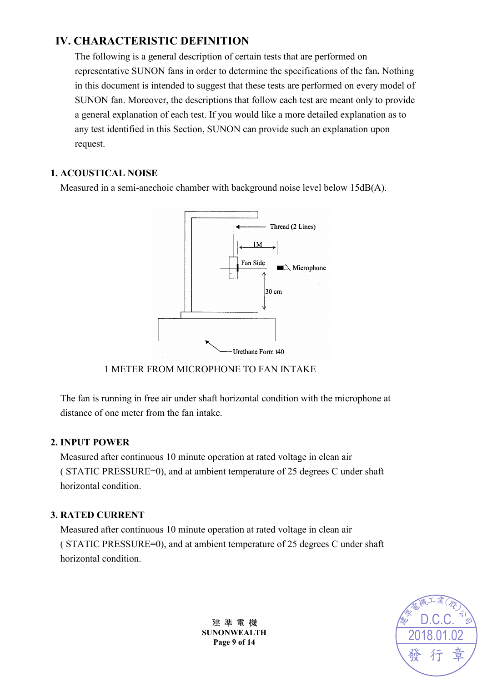# **IV. CHARACTERISTIC DEFINITION**

The following is a general description of certain tests that are performed on representative SUNON fans in order to determine the specifications of the fan**.** Nothing in this document is intended to suggest that these tests are performed on every model of SUNON fan. Moreover, the descriptions that follow each test are meant only to provide a general explanation of each test. If you would like a more detailed explanation as to any test identified in this Section, SUNON can provide such an explanation upon request.

#### **1. ACOUSTICAL NOISE**

Measured in a semi-anechoic chamber with background noise level below 15dB(A).



#### 1 METER FROM MICROPHONE TO FAN INTAKE

The fan is running in free air under shaft horizontal condition with the microphone at distance of one meter from the fan intake.

#### **2. INPUT POWER**

Measured after continuous 10 minute operation at rated voltage in clean air ( STATIC PRESSURE=0), and at ambient temperature of 25 degrees C under shaft horizontal condition.

#### **3. RATED CURRENT**

Measured after continuous 10 minute operation at rated voltage in clean air ( STATIC PRESSURE=0), and at ambient temperature of 25 degrees C under shaft horizontal condition.



建 準 電 機 **SUNONWEALTH Page 9 of 14**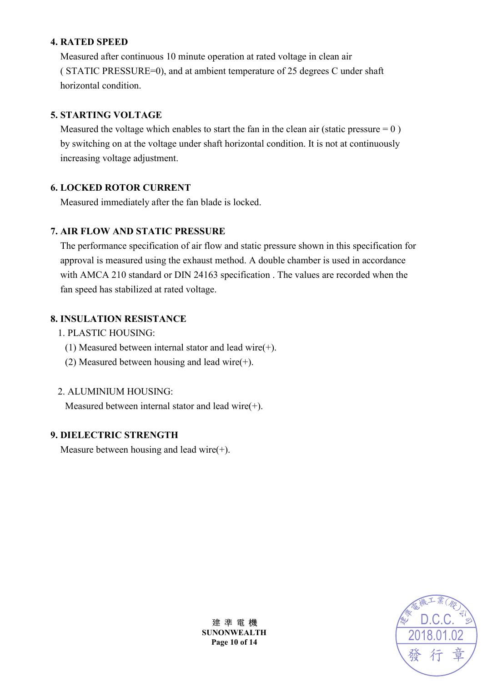#### **4. RATED SPEED**

Measured after continuous 10 minute operation at rated voltage in clean air ( STATIC PRESSURE=0), and at ambient temperature of 25 degrees C under shaft horizontal condition.

#### **5. STARTING VOLTAGE**

Measured the voltage which enables to start the fan in the clean air (static pressure  $= 0$ ) by switching on at the voltage under shaft horizontal condition. It is not at continuously increasing voltage adjustment.

#### **6. LOCKED ROTOR CURRENT**

Measured immediately after the fan blade is locked.

#### **7. AIR FLOW AND STATIC PRESSURE**

The performance specification of air flow and static pressure shown in this specification for approval is measured using the exhaust method. A double chamber is used in accordance with AMCA 210 standard or DIN 24163 specification . The values are recorded when the fan speed has stabilized at rated voltage.

#### **8. INSULATION RESISTANCE**

- 1. PLASTIC HOUSING:
	- (1) Measured between internal stator and lead wire(+).
	- (2) Measured between housing and lead wire(+).

#### 2. ALUMINIUM HOUSING:

Measured between internal stator and lead wire(+).

#### **9. DIELECTRIC STRENGTH**

Measure between housing and lead wire(+).



建 準 電 機 **SUNONWEALTH Page 10 of 14**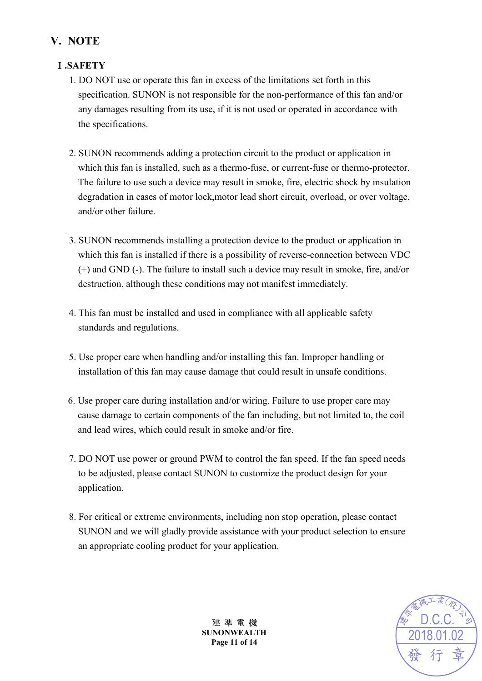# **V. NOTE**

#### Ⅰ**.SAFETY**

- 1. DO NOT use or operate this fan in excess of the limitations set forth in this specification. SUNON is not responsible for the non-performance of this fan and/or any damages resulting from its use, if it is not used or operated in accordance with the specifications.
- 2. SUNON recommends adding a protection circuit to the product or application in which this fan is installed, such as a thermo-fuse, or current-fuse or thermo-protector. The failure to use such a device may result in smoke, fire, electric shock by insulation degradation in cases of motor lock,motor lead short circuit, overload, or over voltage, and/or other failure.
- 3. SUNON recommends installing a protection device to the product or application in which this fan is installed if there is a possibility of reverse-connection between VDC (+) and GND (-). The failure to install such a device may result in smoke, fire, and/or destruction, although these conditions may not manifest immediately.
- 4. This fan must be installed and used in compliance with all applicable safety standards and regulations.
- 5. Use proper care when handling and/or installing this fan. Improper handling or installation of this fan may cause damage that could result in unsafe conditions.
- 6. Use proper care during installation and/or wiring. Failure to use proper care may cause damage to certain components of the fan including, but not limited to, the coil and lead wires, which could result in smoke and/or fire.
- 7. DO NOT use power or ground PWM to control the fan speed. If the fan speed needs to be adjusted, please contact SUNON to customize the product design for your application.
- 8. For critical or extreme environments, including non stop operation, please contact SUNON and we will gladly provide assistance with your product selection to ensure an appropriate cooling product for your application.



建 準 電 機 **SUNONWEALTH Page 11 of 14**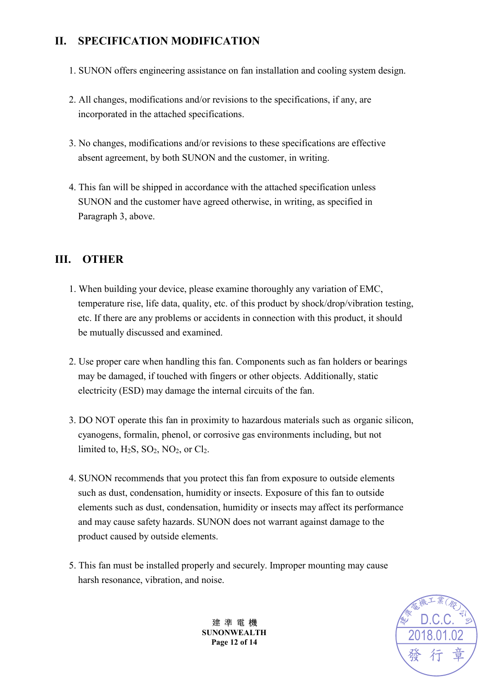# **II. SPECIFICATION MODIFICATION**

- 1. SUNON offers engineering assistance on fan installation and cooling system design.
- 2. All changes, modifications and/or revisions to the specifications, if any, are incorporated in the attached specifications.
- 3. No changes, modifications and/or revisions to these specifications are effective absent agreement, by both SUNON and the customer, in writing.
- 4. This fan will be shipped in accordance with the attached specification unless SUNON and the customer have agreed otherwise, in writing, as specified in Paragraph 3, above.

### **III. OTHER**

- 1. When building your device, please examine thoroughly any variation of EMC, temperature rise, life data, quality, etc. of this product by shock/drop/vibration testing, etc. If there are any problems or accidents in connection with this product, it should be mutually discussed and examined.
- 2. Use proper care when handling this fan. Components such as fan holders or bearings may be damaged, if touched with fingers or other objects. Additionally, static electricity (ESD) may damage the internal circuits of the fan.
- 3. DO NOT operate this fan in proximity to hazardous materials such as organic silicon, cyanogens, formalin, phenol, or corrosive gas environments including, but not limited to,  $H_2S$ ,  $SO_2$ ,  $NO_2$ , or  $Cl_2$ .
- 4. SUNON recommends that you protect this fan from exposure to outside elements such as dust, condensation, humidity or insects. Exposure of this fan to outside elements such as dust, condensation, humidity or insects may affect its performance and may cause safety hazards. SUNON does not warrant against damage to the product caused by outside elements.
- 5. This fan must be installed properly and securely. Improper mounting may cause harsh resonance, vibration, and noise.

建 準 電 機 **SUNONWEALTH Page 12 of 14** 

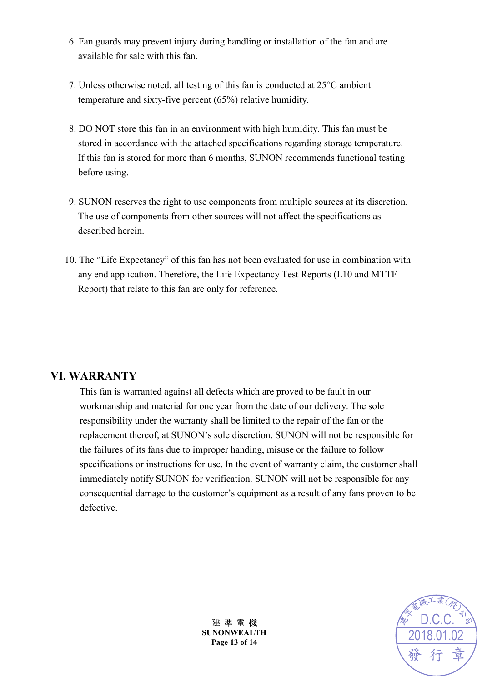- 6. Fan guards may prevent injury during handling or installation of the fan and are available for sale with this fan.
- 7. Unless otherwise noted, all testing of this fan is conducted at 25°C ambient temperature and sixty-five percent (65%) relative humidity.
- 8. DO NOT store this fan in an environment with high humidity. This fan must be stored in accordance with the attached specifications regarding storage temperature. If this fan is stored for more than 6 months, SUNON recommends functional testing before using.
- 9. SUNON reserves the right to use components from multiple sources at its discretion. The use of components from other sources will not affect the specifications as described herein.
- 10. The "Life Expectancy" of this fan has not been evaluated for use in combination with any end application. Therefore, the Life Expectancy Test Reports (L10 and MTTF Report) that relate to this fan are only for reference.

### **VI. WARRANTY**

This fan is warranted against all defects which are proved to be fault in our workmanship and material for one year from the date of our delivery. The sole responsibility under the warranty shall be limited to the repair of the fan or the replacement thereof, at SUNON's sole discretion. SUNON will not be responsible for the failures of its fans due to improper handing, misuse or the failure to follow specifications or instructions for use. In the event of warranty claim, the customer shall immediately notify SUNON for verification. SUNON will not be responsible for any consequential damage to the customer's equipment as a result of any fans proven to be defective.



建 準 電 機 **SUNONWEALTH Page 13 of 14**